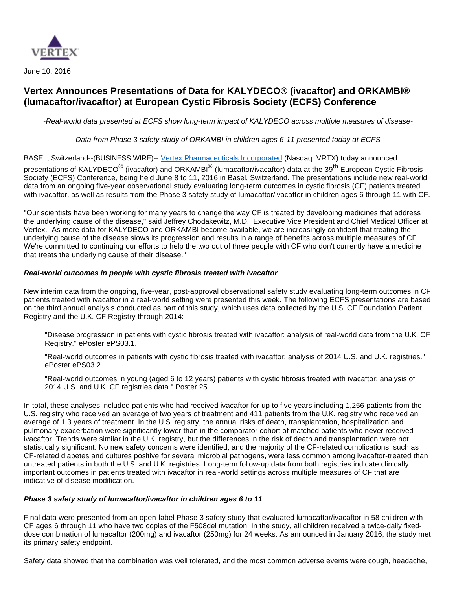

June 10, 2016

# **Vertex Announces Presentations of Data for KALYDECO® (ivacaftor) and ORKAMBI® (lumacaftor/ivacaftor) at European Cystic Fibrosis Society (ECFS) Conference**

-Real-world data presented at ECFS show long-term impact of KALYDECO across multiple measures of disease-

-Data from Phase 3 safety study of ORKAMBI in children ages 6-11 presented today at ECFS-

BASEL, Switzerland--(BUSINESS WIRE)-- [Vertex Pharmaceuticals Incorporated](http://cts.businesswire.com/ct/CT?id=smartlink&url=http%3A%2F%2Fwww.vrtx.com&esheet=51359710&newsitemid=20160610005576&lan=en-US&anchor=Vertex+Pharmaceuticals+Incorporated&index=1&md5=47cfd6d2d56674a42e2b74744c24b00d) (Nasdaq: VRTX) today announced

presentations of KALYDECO<sup>®</sup> (ivacaftor) and ORKAMBI<sup>®</sup> (lumacaftor/ivacaftor) data at the 39<sup>th</sup> European Cystic Fibrosis Society (ECFS) Conference, being held June 8 to 11, 2016 in Basel, Switzerland. The presentations include new real-world data from an ongoing five-year observational study evaluating long-term outcomes in cystic fibrosis (CF) patients treated with ivacaftor, as well as results from the Phase 3 safety study of lumacaftor/ivacaftor in children ages 6 through 11 with CF.

"Our scientists have been working for many years to change the way CF is treated by developing medicines that address the underlying cause of the disease," said Jeffrey Chodakewitz, M.D., Executive Vice President and Chief Medical Officer at Vertex. "As more data for KALYDECO and ORKAMBI become available, we are increasingly confident that treating the underlying cause of the disease slows its progression and results in a range of benefits across multiple measures of CF. We're committed to continuing our efforts to help the two out of three people with CF who don't currently have a medicine that treats the underlying cause of their disease."

### **Real-world outcomes in people with cystic fibrosis treated with ivacaftor**

New interim data from the ongoing, five-year, post-approval observational safety study evaluating long-term outcomes in CF patients treated with ivacaftor in a real-world setting were presented this week. The following ECFS presentations are based on the third annual analysis conducted as part of this study, which uses data collected by the U.S. CF Foundation Patient Registry and the U.K. CF Registry through 2014:

- "Disease progression in patients with cystic fibrosis treated with ivacaftor: analysis of real-world data from the U.K. CF Registry." ePoster ePS03.1.
- "Real-world outcomes in patients with cystic fibrosis treated with ivacaftor: analysis of 2014 U.S. and U.K. registries." ePoster ePS03.2.
- "Real-world outcomes in young (aged 6 to 12 years) patients with cystic fibrosis treated with ivacaftor: analysis of 2014 U.S. and U.K. CF registries data." Poster 25.

In total, these analyses included patients who had received ivacaftor for up to five years including 1,256 patients from the U.S. registry who received an average of two years of treatment and 411 patients from the U.K. registry who received an average of 1.3 years of treatment. In the U.S. registry, the annual risks of death, transplantation, hospitalization and pulmonary exacerbation were significantly lower than in the comparator cohort of matched patients who never received ivacaftor. Trends were similar in the U.K. registry, but the differences in the risk of death and transplantation were not statistically significant. No new safety concerns were identified, and the majority of the CF-related complications, such as CF-related diabetes and cultures positive for several microbial pathogens, were less common among ivacaftor-treated than untreated patients in both the U.S. and U.K. registries. Long-term follow-up data from both registries indicate clinically important outcomes in patients treated with ivacaftor in real-world settings across multiple measures of CF that are indicative of disease modification.

#### **Phase 3 safety study of lumacaftor/ivacaftor in children ages 6 to 11**

Final data were presented from an open-label Phase 3 safety study that evaluated lumacaftor/ivacaftor in 58 children with CF ages 6 through 11 who have two copies of the F508del mutation. In the study, all children received a twice-daily fixeddose combination of lumacaftor (200mg) and ivacaftor (250mg) for 24 weeks. As announced in January 2016, the study met its primary safety endpoint.

Safety data showed that the combination was well tolerated, and the most common adverse events were cough, headache,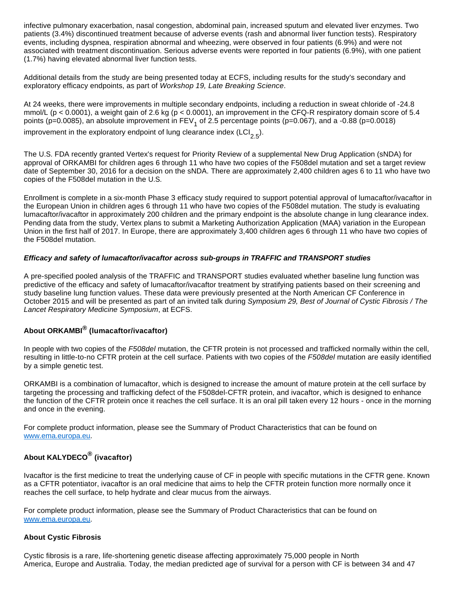infective pulmonary exacerbation, nasal congestion, abdominal pain, increased sputum and elevated liver enzymes. Two patients (3.4%) discontinued treatment because of adverse events (rash and abnormal liver function tests). Respiratory events, including dyspnea, respiration abnormal and wheezing, were observed in four patients (6.9%) and were not associated with treatment discontinuation. Serious adverse events were reported in four patients (6.9%), with one patient (1.7%) having elevated abnormal liver function tests.

Additional details from the study are being presented today at ECFS, including results for the study's secondary and exploratory efficacy endpoints, as part of Workshop 19, Late Breaking Science.

At 24 weeks, there were improvements in multiple secondary endpoints, including a reduction in sweat chloride of -24.8 mmol/L ( $p < 0.0001$ ), a weight gain of 2.6 kg ( $p < 0.0001$ ), an improvement in the CFQ-R respiratory domain score of 5.4 points (p=0.0085), an absolute improvement in FEV<sub>1</sub> of 2.5 percentage points (p=0.067), and a -0.88 (p=0.0018)

improvement in the exploratory endpoint of lung clearance index (LCI<sub>2.5</sub>).

The U.S. FDA recently granted Vertex's request for Priority Review of a supplemental New Drug Application (sNDA) for approval of ORKAMBI for children ages 6 through 11 who have two copies of the F508del mutation and set a target review date of September 30, 2016 for a decision on the sNDA. There are approximately 2,400 children ages 6 to 11 who have two copies of the F508del mutation in the U.S.

Enrollment is complete in a six-month Phase 3 efficacy study required to support potential approval of lumacaftor/ivacaftor in the European Union in children ages 6 through 11 who have two copies of the F508del mutation. The study is evaluating lumacaftor/ivacaftor in approximately 200 children and the primary endpoint is the absolute change in lung clearance index. Pending data from the study, Vertex plans to submit a Marketing Authorization Application (MAA) variation in the European Union in the first half of 2017. In Europe, there are approximately 3,400 children ages 6 through 11 who have two copies of the F508del mutation.

### **Efficacy and safety of lumacaftor/ivacaftor across sub-groups in TRAFFIC and TRANSPORT studies**

A pre-specified pooled analysis of the TRAFFIC and TRANSPORT studies evaluated whether baseline lung function was predictive of the efficacy and safety of lumacaftor/ivacaftor treatment by stratifying patients based on their screening and study baseline lung function values. These data were previously presented at the North American CF Conference in October 2015 and will be presented as part of an invited talk during Symposium 29, Best of Journal of Cystic Fibrosis / The Lancet Respiratory Medicine Symposium, at ECFS.

## **About ORKAMBI® (lumacaftor/ivacaftor)**

In people with two copies of the F508del mutation, the CFTR protein is not processed and trafficked normally within the cell, resulting in little-to-no CFTR protein at the cell surface. Patients with two copies of the F508del mutation are easily identified by a simple genetic test.

ORKAMBI is a combination of lumacaftor, which is designed to increase the amount of mature protein at the cell surface by targeting the processing and trafficking defect of the F508del-CFTR protein, and ivacaftor, which is designed to enhance the function of the CFTR protein once it reaches the cell surface. It is an oral pill taken every 12 hours - once in the morning and once in the evening.

For complete product information, please see the Summary of Product Characteristics that can be found on [www.ema.europa.eu](http://cts.businesswire.com/ct/CT?id=smartlink&url=http%3A%2F%2Fwww.ema.europa.eu&esheet=51359710&newsitemid=20160610005576&lan=en-US&anchor=www.ema.europa.eu&index=2&md5=8c1cbb6c1ef9994d2f655ca2d4649715).

# **About KALYDECO® (ivacaftor)**

Ivacaftor is the first medicine to treat the underlying cause of CF in people with specific mutations in the CFTR gene. Known as a CFTR potentiator, ivacaftor is an oral medicine that aims to help the CFTR protein function more normally once it reaches the cell surface, to help hydrate and clear mucus from the airways.

For complete product information, please see the Summary of Product Characteristics that can be found on [www.ema.europa.eu](http://cts.businesswire.com/ct/CT?id=smartlink&url=http%3A%2F%2Fwww.ema.europa.eu&esheet=51359710&newsitemid=20160610005576&lan=en-US&anchor=www.ema.europa.eu&index=3&md5=1a60aa7a3f3821fb8de5ff8878c20c3c).

## **About Cystic Fibrosis**

Cystic fibrosis is a rare, life-shortening genetic disease affecting approximately 75,000 people in North America, Europe and Australia. Today, the median predicted age of survival for a person with CF is between 34 and 47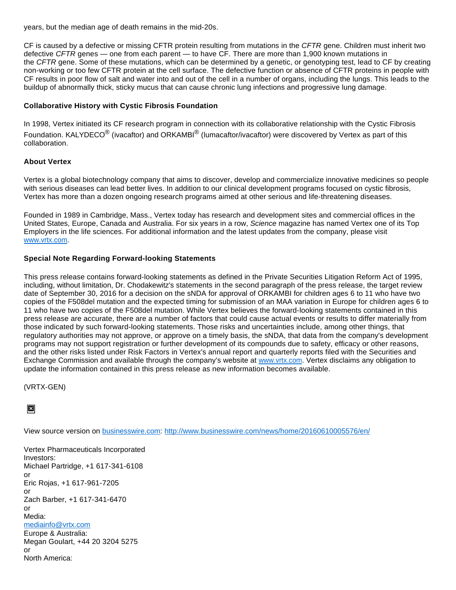years, but the median age of death remains in the mid-20s.

CF is caused by a defective or missing CFTR protein resulting from mutations in the CFTR gene. Children must inherit two defective CFTR genes — one from each parent — to have CF. There are more than 1,900 known mutations in the CFTR gene. Some of these mutations, which can be determined by a genetic, or genotyping test, lead to CF by creating non-working or too few CFTR protein at the cell surface. The defective function or absence of CFTR proteins in people with CF results in poor flow of salt and water into and out of the cell in a number of organs, including the lungs. This leads to the buildup of abnormally thick, sticky mucus that can cause chronic lung infections and progressive lung damage.

## **Collaborative History with Cystic Fibrosis Foundation**

In 1998, Vertex initiated its CF research program in connection with its collaborative relationship with the Cystic Fibrosis Foundation. KALYDECO<sup>®</sup> (ivacaftor) and ORKAMBI<sup>®</sup> (lumacaftor/ivacaftor) were discovered by Vertex as part of this collaboration.

## **About Vertex**

Vertex is a global biotechnology company that aims to discover, develop and commercialize innovative medicines so people with serious diseases can lead better lives. In addition to our clinical development programs focused on cystic fibrosis, Vertex has more than a dozen ongoing research programs aimed at other serious and life-threatening diseases.

Founded in 1989 in Cambridge, Mass., Vertex today has research and development sites and commercial offices in the United States, Europe, Canada and Australia. For six years in a row, Science magazine has named Vertex one of its Top Employers in the life sciences. For additional information and the latest updates from the company, please visit [www.vrtx.com](http://cts.businesswire.com/ct/CT?id=smartlink&url=http%3A%2F%2Fwww.vrtx.com&esheet=51359710&newsitemid=20160610005576&lan=en-US&anchor=www.vrtx.com&index=4&md5=7084bb4c4847fa39fbff450b45d76fde).

## **Special Note Regarding Forward-looking Statements**

This press release contains forward-looking statements as defined in the Private Securities Litigation Reform Act of 1995, including, without limitation, Dr. Chodakewitz's statements in the second paragraph of the press release, the target review date of September 30, 2016 for a decision on the sNDA for approval of ORKAMBI for children ages 6 to 11 who have two copies of the F508del mutation and the expected timing for submission of an MAA variation in Europe for children ages 6 to 11 who have two copies of the F508del mutation. While Vertex believes the forward-looking statements contained in this press release are accurate, there are a number of factors that could cause actual events or results to differ materially from those indicated by such forward-looking statements. Those risks and uncertainties include, among other things, that regulatory authorities may not approve, or approve on a timely basis, the sNDA, that data from the company's development programs may not support registration or further development of its compounds due to safety, efficacy or other reasons, and the other risks listed under Risk Factors in Vertex's annual report and quarterly reports filed with the Securities and Exchange Commission and available through the company's website at [www.vrtx.com.](http://cts.businesswire.com/ct/CT?id=smartlink&url=http%3A%2F%2Fwww.vrtx.com&esheet=51359710&newsitemid=20160610005576&lan=en-US&anchor=www.vrtx.com&index=5&md5=5f8cbd29a9cd70f45a6980fc0e8c427b) Vertex disclaims any obligation to update the information contained in this press release as new information becomes available.

(VRTX-GEN)

 $\overline{\mathbf{x}}$ 

View source version on [businesswire.com](http://businesswire.com/): <http://www.businesswire.com/news/home/20160610005576/en/>

Vertex Pharmaceuticals Incorporated Investors: Michael Partridge, +1 617-341-6108 or Eric Rojas, +1 617-961-7205 or Zach Barber, +1 617-341-6470 or Media: [mediainfo@vrtx.com](mailto:mediainfo@vrtx.com) Europe & Australia: Megan Goulart, +44 20 3204 5275 or North America: